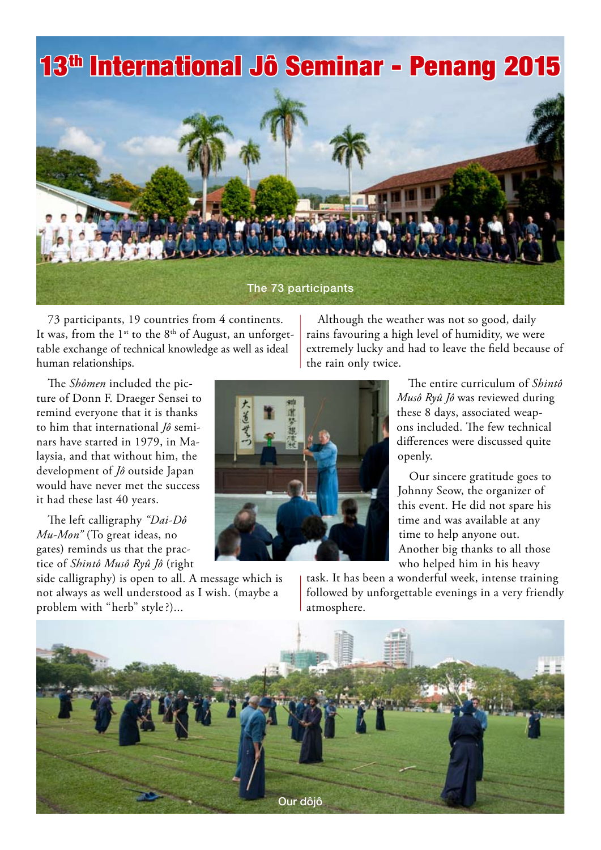# 13th International Jô Seminar - Penang 2015



73 participants, 19 countries from 4 continents. It was, from the  $1^{st}$  to the  $8^{th}$  of August, an unforgettable exchange of technical knowledge as well as ideal human relationships.

The *Shômen* included the picture of Donn F. Draeger Sensei to remind everyone that it is thanks to him that international *Jô* seminars have started in 1979, in Malaysia, and that without him, the development of *Jô* outside Japan would have never met the success it had these last 40 years.

The left calligraphy *"Dai-Dô Mu-Mon"* (To great ideas, no gates) reminds us that the practice of *Shintô Musô Ryû Jô* (right

side calligraphy) is open to all. A message which is not always as well understood as I wish. (maybe a problem with "herb" style?)...

Although the weather was not so good, daily rains favouring a high level of humidity, we were extremely lucky and had to leave the field because of the rain only twice.



The entire curriculum of *Shintô Musô Ryû Jô* was reviewed during these 8 days, associated weapons included. The few technical differences were discussed quite openly.

Our sincere gratitude goes to Johnny Seow, the organizer of this event. He did not spare his time and was available at any time to help anyone out. Another big thanks to all those who helped him in his heavy

task. It has been a wonderful week, intense training followed by unforgettable evenings in a very friendly atmosphere.

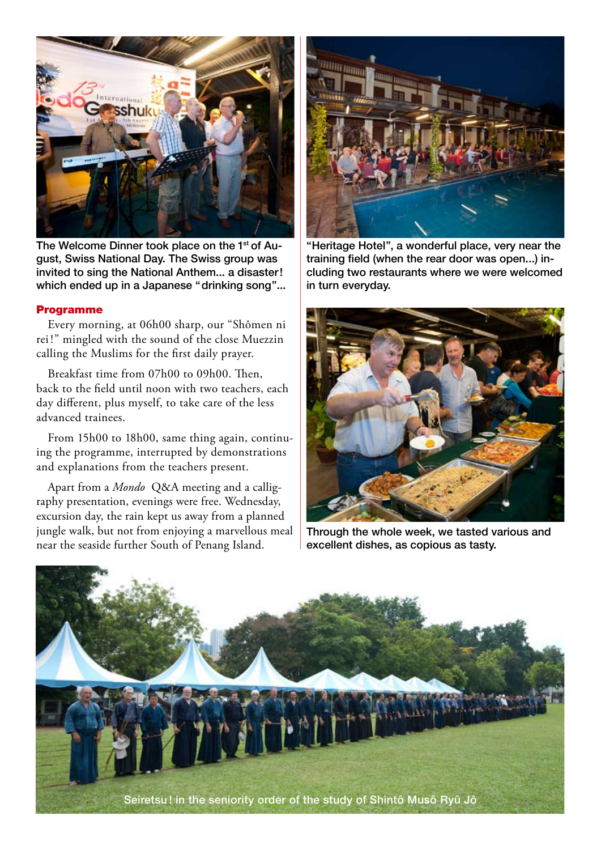

The Welcome Dinner took place on the 1<sup>st</sup> of August, Swiss National Day. The Swiss group was invited to sing the National Anthem... a disaster! which ended up in a Japanese "drinking song"...

# Programme

Every morning, at 06h00 sharp, our "Shômen ni rei !" mingled with the sound of the close Muezzin calling the Muslims for the first daily prayer.

Breakfast time from 07h00 to 09h00. Then, back to the field until noon with two teachers, each day different, plus myself, to take care of the less advanced trainees.

From 15h00 to 18h00, same thing again, continuing the programme, interrupted by demonstrations and explanations from the teachers present.

Apart from a *Mondo* Q&A meeting and a calligraphy presentation, evenings were free. Wednesday, excursion day, the rain kept us away from a planned jungle walk, but not from enjoying a marvellous meal near the seaside further South of Penang Island.



"Heritage Hotel", a wonderful place, very near the training field (when the rear door was open...) including two restaurants where we were welcomed in turn everyday.



Through the whole week, we tasted various and excellent dishes, as copious as tasty.

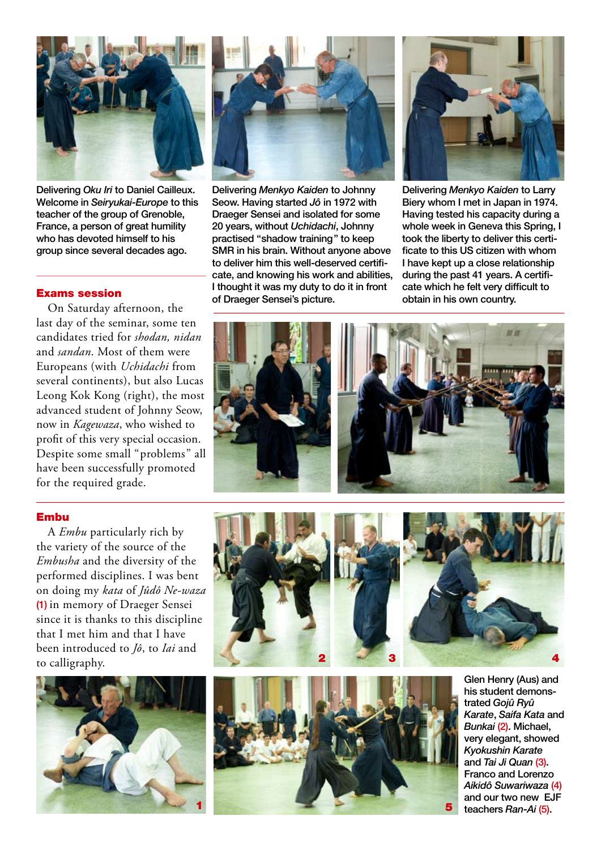

Delivering Oku Iri to Daniel Cailleux. Welcome in Seiryukai-Europe to this teacher of the group of Grenoble, France, a person of great humility who has devoted himself to his group since several decades ago.

## Exams session

On Saturday afternoon, the last day of the seminar, some ten candidates tried for *shodan, nidan* and *sandan*. Most of them were Europeans (with *Uchidachi* from several continents), but also Lucas Leong Kok Kong (right), the most advanced student of Johnny Seow, now in *Kagewaza*, who wished to profit of this very special occasion. Despite some small "problems" all have been successfully promoted for the required grade.



Delivering Menkyo Kaiden to Johnny Seow. Having started Jô in 1972 with Draeger Sensei and isolated for some 20 years, without Uchidachi, Johnny practised "shadow training" to keep SMR in his brain. Without anyone above to deliver him this well-deserved certificate, and knowing his work and abilities, I thought it was my duty to do it in front of Draeger Sensei's picture.



Delivering Menkyo Kaiden to Larry Biery whom I met in Japan in 1974. Having tested his capacity during a whole week in Geneva this Spring, I took the liberty to deliver this certificate to this US citizen with whom I have kept up a close relationship during the past 41 years. A certificate which he felt very difficult to obtain in his own country.



#### Embu

A *Embu* particularly rich by the variety of the source of the *Embusha* and the diversity of the performed disciplines. I was bent on doing my *kata* of *Jûdô Ne-waza* (1) in memory of Draeger Sensei since it is thanks to this discipline that I met him and that I have been introduced to *Jô*, to *Iai* and to calligraphy.







Glen Henry (Aus) and his student demonstrated Gojû Ryû Karate, Saifa Kata and Bunkai (2). Michael, very elegant, showed Kyokushin Karate and Tai Ji Quan (3). Franco and Lorenzo Aikidô Suwariwaza (4) and our two new EJF teachers Ran-Ai (5).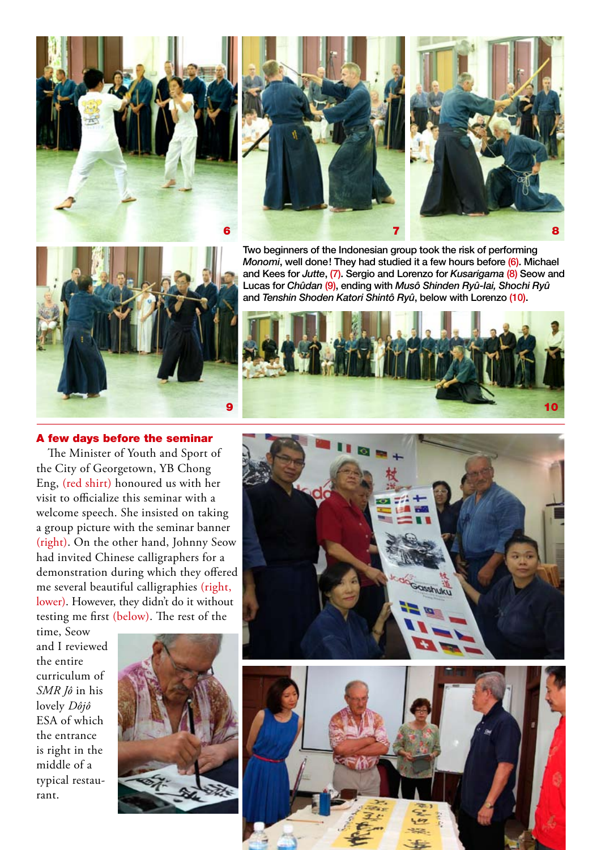







Two beginners of the Indonesian group took the risk of performing Monomi, well done! They had studied it a few hours before (6). Michael and Kees for Jutte, (7). Sergio and Lorenzo for Kusarigama (8) Seow and Lucas for Chûdan (9), ending with Musô Shinden Ryû-lai, Shochi Ryû and Tenshin Shoden Katori Shintô Ryû, below with Lorenzo (10).



## A few days before the seminar

The Minister of Youth and Sport of the City of Georgetown, YB Chong Eng, (red shirt) honoured us with her visit to officialize this seminar with a welcome speech. She insisted on taking a group picture with the seminar banner (right). On the other hand, Johnny Seow had invited Chinese calligraphers for a demonstration during which they offered me several beautiful calligraphies (right, lower). However, they didn't do it without testing me first (below). The rest of the

time, Seow and I reviewed the entire curriculum of *SMR Jô* in his lovely *Dôjô* ESA of which the entrance is right in the middle of a typical restaurant.